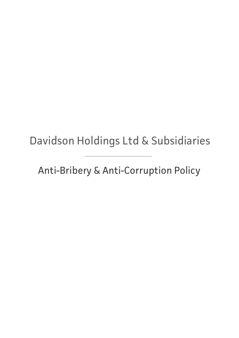# Davidson Holdings Ltd & Subsidiaries

Anti-Bribery & Anti-Corruption Policy

name]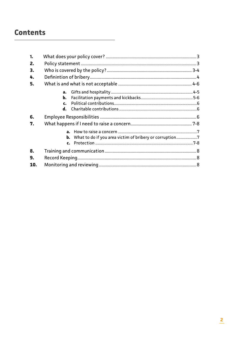# **Contents**

| 1.  |                                                                   |  |
|-----|-------------------------------------------------------------------|--|
| 2.  |                                                                   |  |
| 3.  |                                                                   |  |
| 4.  |                                                                   |  |
| 5.  |                                                                   |  |
|     | $a_{\cdot}$                                                       |  |
|     | b.                                                                |  |
|     | $\mathbf{c}$ .                                                    |  |
|     | d.                                                                |  |
| 6.  |                                                                   |  |
| 7.  |                                                                   |  |
|     |                                                                   |  |
|     | <b>b.</b> What to do if you area victim of bribery or corruption7 |  |
|     | $\mathbf{c}$ .                                                    |  |
| 8.  |                                                                   |  |
| 9.  |                                                                   |  |
| 10. |                                                                   |  |
|     |                                                                   |  |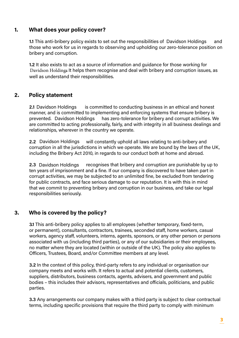# **1. What does your policy cover?**

**1.1** This anti-bribery policy exists to set out the responsibilities of Davidson Holdings and those who work for us in regards to observing and upholding our zero-tolerance position on bribery and corruption.

**1.2** It also exists to act as a source of information and guidance for those working for Davidson Holdings It helps them recognise and deal with bribery and corruption issues, as well as understand their responsibilities.

# **2. Policy statement**

**2.1** is committed to conducting business in an ethical and honest manner, and is committed to implementing and enforcing systems that ensure bribery is has zero-tolerance for bribery and corrupt activities. We are committed to acting professionally, fairly, and with integrity in all business dealings and relationships, wherever in the country we operate. 2.1 Davidson Holdings prevented. Davidson Holdings

will constantly uphold all laws relating to anti-bribery and corruption in all the jurisdictions in which we operate. We are bound by the laws of the UK, including the Bribery Act 2010, in regards to our conduct both at home and abroad. 2.2 Davidson Holdings

recognises that bribery and corruption are punishable by up to ten years of imprisonment and a fine. If our company is discovered to have taken part in corrupt activities, we may be subjected to an unlimited fine, be excluded from tendering for public contracts, and face serious damage to our reputation. It is with this in mind that we commit to preventing bribery and corruption in our business, and take our legal responsibilities seriously. 2.3 Davidson Holdings

# **3. Who is covered by the policy?**

**3.1** This anti-bribery policy applies to all employees (whether temporary, fixed-term, or permanent), consultants, contractors, trainees, seconded staff, home workers, casual workers, agency staff, volunteers, interns, agents, sponsors, or any other person or persons associated with us (including third parties), or any of our subsidiaries or their employees, no matter where they are located (within or outside of the UK). The policy also applies to Officers, Trustees, Board, and/or Committee members at any level.

**3.2** In the context of this policy, third-party refers to any individual or organisation our company meets and works with. It refers to actual and potential clients, customers, suppliers, distributors, business contacts, agents, advisers, and government and public bodies – this includes their advisors, representatives and officials, politicians, and public parties.

**3.3** Any arrangements our company makes with a third party is subject to clear contractual terms, including specific provisions that require the third party to comply with minimum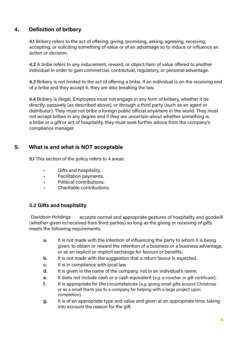# **4. Definition of bribery**

**4.1** Bribery refers to the act of offering, giving, promising, asking, agreeing, receiving, accepting, or soliciting something of value or of an advantage so to induce or influence an action or decision.

**4.2** A bribe refers to any inducement, reward, or object/item of value offered to another individual in order to gain commercial, contractual, regulatory, or personal advantage.

**4.3** Bribery is not limited to the act of offering a bribe. If an individual is on the receiving end of a bribe and they accept it, they are also breaking the law.

**4.4** Bribery is illegal. Employees must not engage in any form of bribery, whether it be directly, passively (as described above), or through a third party (such as an agent or distributor). They must not bribe a foreign public official anywhere in the world. They must not accept bribes in any degree and if they are uncertain about whether something is a bribe or a gift or act of hospitality, they must seek further advice from the company's compliance manager.

# **5. What is and what is NOT acceptable**

**5.1** This section of the policy refers to 4 areas:

- Gifts and hospitality.
- Facilitation payments.
- Political contributions.
- Charitable contributions.

#### **5.2 Gifts and hospitality**

accepts normal and appropriate gestures of hospitality and goodwill (whether given to/received from third parties) so long as the giving or receiving of gifts meets the following requirements: Davidson Holdings

- **a.** It is not made with the intention of influencing the party to whom it is being given, to obtain or reward the retention of a business or a business advantage, or as an explicit or implicit exchange for favours or benefits.
- **b.** It is not made with the suggestion that a return favour is expected.
- **c.** It is in compliance with local law.
- **d.** It is given in the name of the company, not in an individual's name.
- **e.** It does not include cash or a cash equivalent (*e.g.* a voucher or gift certificate).
- **f.** It is appropriate for the circumstances (*e.g.* giving small gifts around Christmas or as a small thank you to a company for helping with a large project upon completion).
- **g.** It is of an appropriate type and value and given at an appropriate time, taking into account the reason for the gift.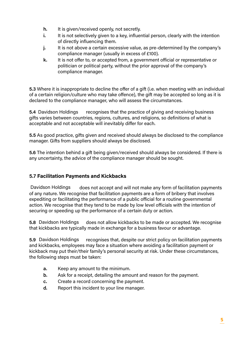- **h.** It is given/received openly, not secretly.
- **i.** It is not selectively given to a key, influential person, clearly with the intention of directly influencing them.
- **j.** It is not above a certain excessive value, as pre-determined by the company's compliance manager (usually in excess of £100).
- **k.** It is not offer to, or accepted from, a government official or representative or politician or political party, without the prior approval of the company's compliance manager.

**5.3** Where it is inappropriate to decline the offer of a gift (i.e. when meeting with an individual of a certain religion/culture who may take offence), the gift may be accepted so long as it is declared to the compliance manager, who will assess the circumstances.

**5.4** [COMPANY NAME] recognises that the practice of giving and receiving business gifts varies between countries, regions, cultures, and religions, so definitions of what is acceptable and not acceptable will inevitably differ for each. 5.4 Davidson Holdings

**5.5** As good practice, gifts given and received should always be disclosed to the compliance manager. Gifts from suppliers should always be disclosed.

**5.6** The intention behind a gift being given/received should always be considered. If there is any uncertainty, the advice of the compliance manager should be sought.

# **5.7 Facilitation Payments and Kickbacks**

does not accept and will not make any form of facilitation payments of any nature. We recognise that facilitation payments are a form of bribery that involves expediting or facilitating the performance of a public official for a routine governmental action. We recognise that they tend to be made by low level officials with the intention of securing or speeding up the performance of a certain duty or action. Davidson Holdings

**5.8** [COMPANY NAME] does not allow kickbacks to be made or accepted. We recognise that kickbacks are typically made in exchange for a business favour or advantage. 5.8 Davidson Holdings

**FECOMPANY RAMAS recognises that, despite our strict policy on facilitation payments** and kickbacks, employees may face a situation where avoiding a facilitation payment or kickback may put their/their family's personal security at risk. Under these circumstances, the following steps must be taken: 5.9 Davidson Holdings

- **a.** Keep any amount to the minimum.
- **b.** Ask for a receipt, detailing the amount and reason for the payment.
- **c.** Create a record concerning the payment.
- **d.** Report this incident to your line manager.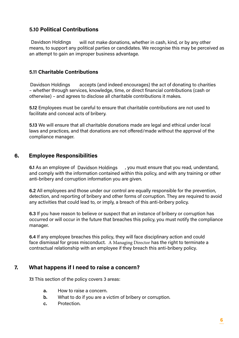### **5.10 Political Contributions**

will not make donations, whether in cash, kind, or by any other means, to support any political parties or candidates. We recognise this may be perceived as an attempt to gain an improper business advantage. Davidson Holdings

#### **5.11 Charitable Contributions**

accepts (and indeed encourages) the act of donating to charities – whether through services, knowledge, time, or direct financial contributions (cash or otherwise) – and agrees to disclose all charitable contributions it makes. Davidson Holdings

**5.12** Employees must be careful to ensure that charitable contributions are not used to facilitate and conceal acts of bribery.

**5.13** We will ensure that all charitable donations made are legal and ethical under local laws and practices, and that donations are not offered/made without the approval of the compliance manager.

#### **6. Employee Responsibilities**

6.1 As an employee of Davidson Holdings , you must ensure that you read, understand, and comply with the information contained within this policy, and with any training or other anti-bribery and corruption information you are given.

**6.2** All employees and those under our control are equally responsible for the prevention, detection, and reporting of bribery and other forms of corruption. They are required to avoid any activities that could lead to, or imply, a breach of this anti-bribery policy.

**6.3** If you have reason to believe or suspect that an instance of bribery or corruption has occurred or will occur in the future that breaches this policy, you must notify the compliance manager.

**6.4** If any employee breaches this policy, they will face disciplinary action and could face dismissal for gross misconduct. A Managing Director has the right to terminate a contractual relationship with an employee if they breach this anti-bribery policy.

# **7. What happens if I need to raise a concern?**

**7.1** This section of the policy covers 3 areas:

- **a.** How to raise a concern.
- **b.** What to do if you are a victim of bribery or corruption.
- **c.** Protection.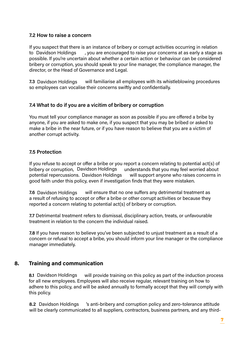#### **7.2 How to raise a concern**

If you suspect that there is an instance of bribery or corrupt activities occurring in relation , you are encouraged to raise your concerns at as early a stage as possible. If you're uncertain about whether a certain action or behaviour can be considered bribery or corruption, you should speak to your line manager, the compliance manager, the director, or the Head of Governance and Legal. to Davidson Holdings

**7.3** Davidson Holdings will familiarise all employees with its whistleblowing procedures so employees can vocalise their concerns swiftly and confidentially.

#### **7.4 What to do if you are a vicitim of bribery or corruption**

You must tell your compliance manager as soon as possible if you are offered a bribe by anyone, if you are asked to make one, if you suspect that you may be bribed or asked to make a bribe in the near future, or if you have reason to believe that you are a victim of another corrupt activity. Davidson Holdings will familiarise<br>
employees can vocalise their concerns<br>
What to do if you are a vicitim of b<br>
must tell your compliance manager as<br>
one, if you are asked to make one, if you<br>
we a bribe in the near futur

#### **7.5 Protection**

If you refuse to accept or offer a bribe or you report a concern relating to potential act(s) of bribery or corruption, Davidson Holdings understands that you may feel worried about potential repercussions. Davidson Holdings vill support anyone who raises concerns in good faith under this policy, even if investigation finds that they were mistaken.

will ensure that no one suffers any detrimental treatment as a result of refusing to accept or offer a bribe or other corrupt activities or because they reported a concern relating to potential act(s) of bribery or corruption. 7.6 Davidson Holdings

**7.7** Detrimental treatment refers to dismissal, disciplinary action, treats, or unfavourable treatment in relation to the concern the individual raised.

**7.8** If you have reason to believe you've been subjected to unjust treatment as a result of a concern or refusal to accept a bribe, you should inform your line manager or the compliance manager immediately.

#### **8. Training and communication**

will provide training on this policy as part of the induction process for all new employees. Employees will also receive regular, relevant training on how to adhere to this policy, and will be asked annually to formally accept that they will comply with this policy. 8.1 Davidson Holdings

's anti-bribery and corruption policy and zero-tolerance attitude will be clearly communicated to all suppliers, contractors, business partners, and any third-8.2 Davidson Holdings